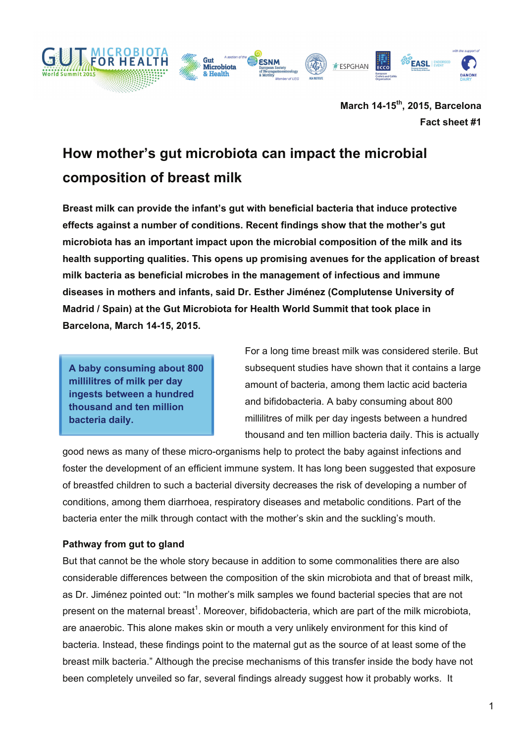

**March 14-15th, 2015, Barcelona Fact sheet #1**

# **How mother's gut microbiota can impact the microbial composition of breast milk**

**Breast milk can provide the infant's gut with beneficial bacteria that induce protective effects against a number of conditions. Recent findings show that the mother's gut microbiota has an important impact upon the microbial composition of the milk and its health supporting qualities. This opens up promising avenues for the application of breast milk bacteria as beneficial microbes in the management of infectious and immune diseases in mothers and infants, said Dr. Esther Jiménez (Complutense University of Madrid / Spain) at the Gut Microbiota for Health World Summit that took place in Barcelona, March 14-15, 2015.** 

**A baby consuming about 800 millilitres of milk per day ingests between a hundred thousand and ten million bacteria daily.**

For a long time breast milk was considered sterile. But subsequent studies have shown that it contains a large amount of bacteria, among them lactic acid bacteria and bifidobacteria. A baby consuming about 800 millilitres of milk per day ingests between a hundred thousand and ten million bacteria daily. This is actually

good news as many of these micro-organisms help to protect the baby against infections and foster the development of an efficient immune system. It has long been suggested that exposure of breastfed children to such a bacterial diversity decreases the risk of developing a number of conditions, among them diarrhoea, respiratory diseases and metabolic conditions. Part of the bacteria enter the milk through contact with the mother's skin and the suckling's mouth.

## **Pathway from gut to gland**

But that cannot be the whole story because in addition to some commonalities there are also considerable differences between the composition of the skin microbiota and that of breast milk, as Dr. Jiménez pointed out: "In mother's milk samples we found bacterial species that are not present on the maternal breast<sup>1</sup>. Moreover, bifidobacteria, which are part of the milk microbiota, are anaerobic. This alone makes skin or mouth a very unlikely environment for this kind of bacteria. Instead, these findings point to the maternal gut as the source of at least some of the breast milk bacteria." Although the precise mechanisms of this transfer inside the body have not been completely unveiled so far, several findings already suggest how it probably works. It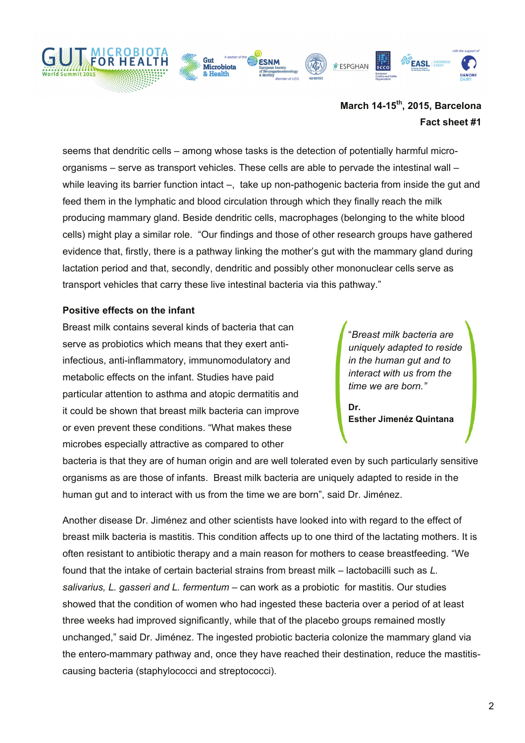

# **March 14-15th, 2015, Barcelona Fact sheet #1**

seems that dendritic cells – among whose tasks is the detection of potentially harmful microorganisms – serve as transport vehicles. These cells are able to pervade the intestinal wall – while leaving its barrier function intact –, take up non-pathogenic bacteria from inside the gut and feed them in the lymphatic and blood circulation through which they finally reach the milk producing mammary gland. Beside dendritic cells, macrophages (belonging to the white blood cells) might play a similar role. "Our findings and those of other research groups have gathered evidence that, firstly, there is a pathway linking the mother's gut with the mammary gland during lactation period and that, secondly, dendritic and possibly other mononuclear cells serve as transport vehicles that carry these live intestinal bacteria via this pathway."

## **Positive effects on the infant**

Breast milk contains several kinds of bacteria that can serve as probiotics which means that they exert antiinfectious, anti-inflammatory, immunomodulatory and metabolic effects on the infant. Studies have paid particular attention to asthma and atopic dermatitis and it could be shown that breast milk bacteria can improve or even prevent these conditions. "What makes these microbes especially attractive as compared to other

"*Breast milk bacteria are uniquely adapted to reside in the human gut and to interact with us from the time we are born."*

**Dr. Esther Jimenéz Quintana**

bacteria is that they are of human origin and are well tolerated even by such particularly sensitive organisms as are those of infants. Breast milk bacteria are uniquely adapted to reside in the human gut and to interact with us from the time we are born", said Dr. Jiménez.

Another disease Dr. Jiménez and other scientists have looked into with regard to the effect of breast milk bacteria is mastitis. This condition affects up to one third of the lactating mothers. It is often resistant to antibiotic therapy and a main reason for mothers to cease breastfeeding. "We found that the intake of certain bacterial strains from breast milk – lactobacilli such as *L. salivarius, L. gasseri and L. fermentum* – can work as a probiotic for mastitis. Our studies showed that the condition of women who had ingested these bacteria over a period of at least three weeks had improved significantly, while that of the placebo groups remained mostly unchanged," said Dr. Jiménez. The ingested probiotic bacteria colonize the mammary gland via the entero-mammary pathway and, once they have reached their destination, reduce the mastitiscausing bacteria (staphylococci and streptococci).